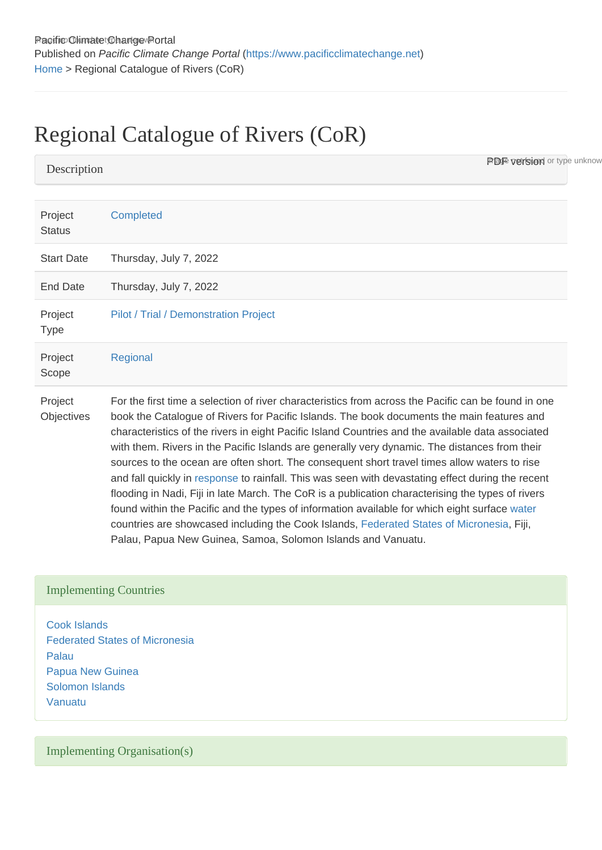## Regional Catalogue of Rivers (CoR)

**PDF version** or type unknow

| Project<br><b>Status</b> | Completed                                                                                                                                                                                                                                                                                                                                                                                                                                                                                                                                                                                                                                                                                                                                                                                                                                                                                                                                                                       |
|--------------------------|---------------------------------------------------------------------------------------------------------------------------------------------------------------------------------------------------------------------------------------------------------------------------------------------------------------------------------------------------------------------------------------------------------------------------------------------------------------------------------------------------------------------------------------------------------------------------------------------------------------------------------------------------------------------------------------------------------------------------------------------------------------------------------------------------------------------------------------------------------------------------------------------------------------------------------------------------------------------------------|
| <b>Start Date</b>        | Thursday, July 7, 2022                                                                                                                                                                                                                                                                                                                                                                                                                                                                                                                                                                                                                                                                                                                                                                                                                                                                                                                                                          |
| <b>End Date</b>          | Thursday, July 7, 2022                                                                                                                                                                                                                                                                                                                                                                                                                                                                                                                                                                                                                                                                                                                                                                                                                                                                                                                                                          |
| Project<br><b>Type</b>   | Pilot / Trial / Demonstration Project                                                                                                                                                                                                                                                                                                                                                                                                                                                                                                                                                                                                                                                                                                                                                                                                                                                                                                                                           |
| Project<br>Scope         | Regional                                                                                                                                                                                                                                                                                                                                                                                                                                                                                                                                                                                                                                                                                                                                                                                                                                                                                                                                                                        |
| Project<br>Objectives    | For the first time a selection of river characteristics from across the Pacific can be found in one<br>book the Catalogue of Rivers for Pacific Islands. The book documents the main features and<br>characteristics of the rivers in eight Pacific Island Countries and the available data associated<br>with them. Rivers in the Pacific Islands are generally very dynamic. The distances from their<br>sources to the ocean are often short. The consequent short travel times allow waters to rise<br>and fall quickly in response to rainfall. This was seen with devastating effect during the recent<br>flooding in Nadi, Fiji in late March. The CoR is a publication characterising the types of rivers<br>found within the Pacific and the types of information available for which eight surface water<br>countries are showcased including the Cook Islands, Federated States of Micronesia, Fiji,<br>Palau, Papua New Guinea, Samoa, Solomon Islands and Vanuatu. |

## Implementing Countries

**Description** 

[Cook Islands](https://www.pacificclimatechange.net/node/9481) [Federated States of Micronesia](https://www.pacificclimatechange.net/node/9482) [Palau](https://www.pacificclimatechange.net/node/57) [Papua New Guinea](https://www.pacificclimatechange.net/node/58) [Solomon Islands](https://www.pacificclimatechange.net/node/59) [Vanuatu](https://www.pacificclimatechange.net/node/63)

Implementing Organisation(s)